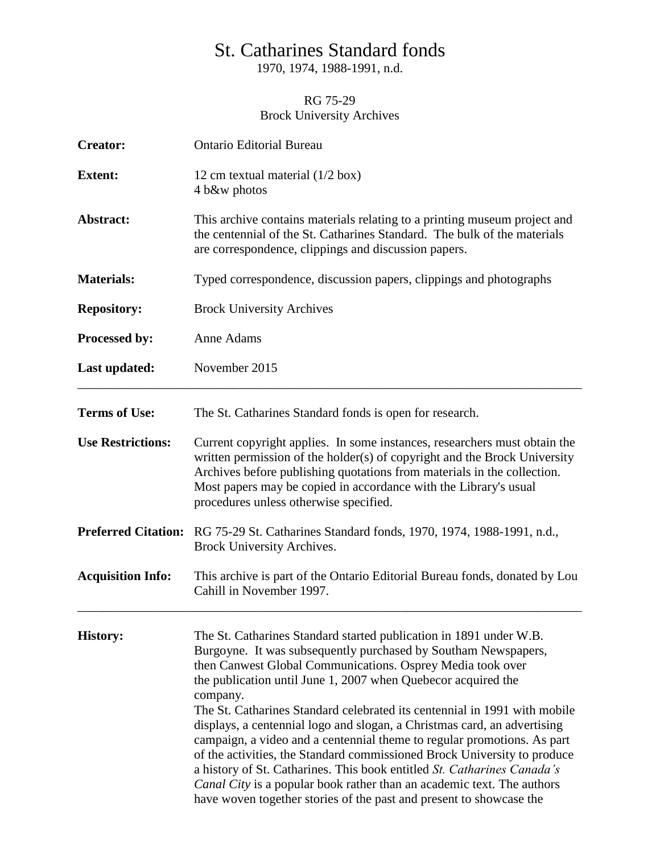## St. Catharines Standard fonds

1970, 1974, 1988-1991, n.d.

## RG 75-29 Brock University Archives

| <b>Creator:</b>            | <b>Ontario Editorial Bureau</b>                                                                                                                                                                                                                                                                                                                                                                                                                                                                                                                                                                                                                                                                                                                                                                                             |
|----------------------------|-----------------------------------------------------------------------------------------------------------------------------------------------------------------------------------------------------------------------------------------------------------------------------------------------------------------------------------------------------------------------------------------------------------------------------------------------------------------------------------------------------------------------------------------------------------------------------------------------------------------------------------------------------------------------------------------------------------------------------------------------------------------------------------------------------------------------------|
| <b>Extent:</b>             | 12 cm textual material $(1/2$ box)<br>4 b&w photos                                                                                                                                                                                                                                                                                                                                                                                                                                                                                                                                                                                                                                                                                                                                                                          |
| Abstract:                  | This archive contains materials relating to a printing museum project and<br>the centennial of the St. Catharines Standard. The bulk of the materials<br>are correspondence, clippings and discussion papers.                                                                                                                                                                                                                                                                                                                                                                                                                                                                                                                                                                                                               |
| <b>Materials:</b>          | Typed correspondence, discussion papers, clippings and photographs                                                                                                                                                                                                                                                                                                                                                                                                                                                                                                                                                                                                                                                                                                                                                          |
| <b>Repository:</b>         | <b>Brock University Archives</b>                                                                                                                                                                                                                                                                                                                                                                                                                                                                                                                                                                                                                                                                                                                                                                                            |
| Processed by:              | Anne Adams                                                                                                                                                                                                                                                                                                                                                                                                                                                                                                                                                                                                                                                                                                                                                                                                                  |
| Last updated:              | November 2015                                                                                                                                                                                                                                                                                                                                                                                                                                                                                                                                                                                                                                                                                                                                                                                                               |
| <b>Terms of Use:</b>       | The St. Catharines Standard fonds is open for research.                                                                                                                                                                                                                                                                                                                                                                                                                                                                                                                                                                                                                                                                                                                                                                     |
| <b>Use Restrictions:</b>   | Current copyright applies. In some instances, researchers must obtain the<br>written permission of the holder(s) of copyright and the Brock University<br>Archives before publishing quotations from materials in the collection.<br>Most papers may be copied in accordance with the Library's usual<br>procedures unless otherwise specified.                                                                                                                                                                                                                                                                                                                                                                                                                                                                             |
| <b>Preferred Citation:</b> | RG 75-29 St. Catharines Standard fonds, 1970, 1974, 1988-1991, n.d.,<br>Brock University Archives.                                                                                                                                                                                                                                                                                                                                                                                                                                                                                                                                                                                                                                                                                                                          |
| <b>Acquisition Info:</b>   | This archive is part of the Ontario Editorial Bureau fonds, donated by Lou<br>Cahill in November 1997.                                                                                                                                                                                                                                                                                                                                                                                                                                                                                                                                                                                                                                                                                                                      |
| <b>History:</b>            | The St. Catharines Standard started publication in 1891 under W.B.<br>Burgoyne. It was subsequently purchased by Southam Newspapers,<br>then Canwest Global Communications. Osprey Media took over<br>the publication until June 1, 2007 when Quebecor acquired the<br>company.<br>The St. Catharines Standard celebrated its centennial in 1991 with mobile<br>displays, a centennial logo and slogan, a Christmas card, an advertising<br>campaign, a video and a centennial theme to regular promotions. As part<br>of the activities, the Standard commissioned Brock University to produce<br>a history of St. Catharines. This book entitled St. Catharines Canada's<br>Canal City is a popular book rather than an academic text. The authors<br>have woven together stories of the past and present to showcase the |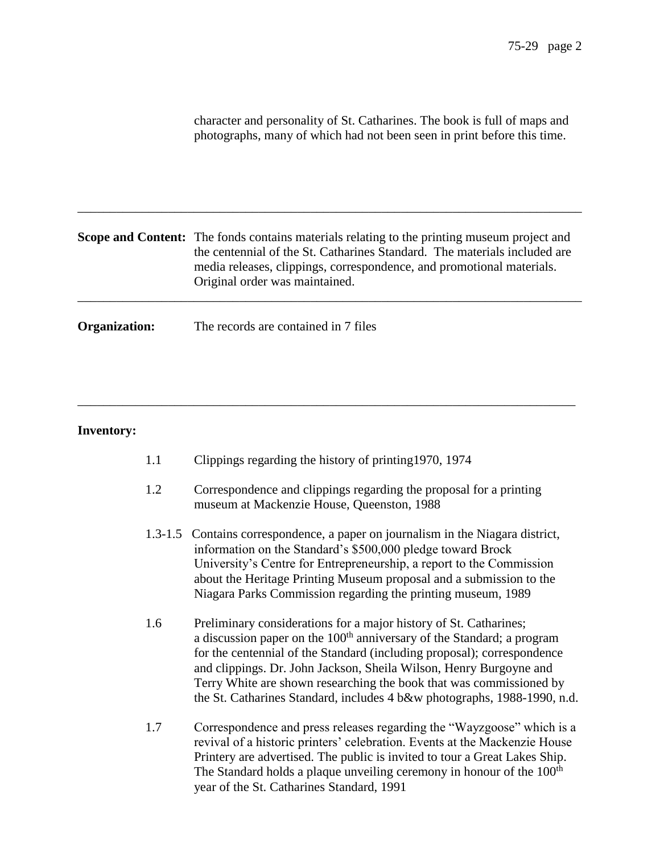|                      | character and personality of St. Catharines. The book is full of maps and<br>photographs, many of which had not been seen in print before this time.                                                                                                                                       |
|----------------------|--------------------------------------------------------------------------------------------------------------------------------------------------------------------------------------------------------------------------------------------------------------------------------------------|
|                      | <b>Scope and Content:</b> The fonds contains materials relating to the printing museum project and<br>the centennial of the St. Catharines Standard. The materials included are<br>media releases, clippings, correspondence, and promotional materials.<br>Original order was maintained. |
| <b>Organization:</b> | The records are contained in 7 files                                                                                                                                                                                                                                                       |

## **Inventory:**

1.1 Clippings regarding the history of printing1970, 1974

\_\_\_\_\_\_\_\_\_\_\_\_\_\_\_\_\_\_\_\_\_\_\_\_\_\_\_\_\_\_\_\_\_\_\_\_\_\_\_\_\_\_\_\_\_\_\_\_\_\_\_\_\_\_\_\_\_\_\_\_\_\_\_\_\_\_\_\_\_\_\_\_\_\_\_\_\_

- 1.2 Correspondence and clippings regarding the proposal for a printing museum at Mackenzie House, Queenston, 1988
- 1.3-1.5 Contains correspondence, a paper on journalism in the Niagara district, information on the Standard's \$500,000 pledge toward Brock University's Centre for Entrepreneurship, a report to the Commission about the Heritage Printing Museum proposal and a submission to the Niagara Parks Commission regarding the printing museum, 1989
- 1.6 Preliminary considerations for a major history of St. Catharines; a discussion paper on the  $100<sup>th</sup>$  anniversary of the Standard; a program for the centennial of the Standard (including proposal); correspondence and clippings. Dr. John Jackson, Sheila Wilson, Henry Burgoyne and Terry White are shown researching the book that was commissioned by the St. Catharines Standard, includes 4 b&w photographs, 1988-1990, n.d.
- 1.7 Correspondence and press releases regarding the "Wayzgoose" which is a revival of a historic printers' celebration. Events at the Mackenzie House Printery are advertised. The public is invited to tour a Great Lakes Ship. The Standard holds a plaque unveiling ceremony in honour of the 100<sup>th</sup> year of the St. Catharines Standard, 1991